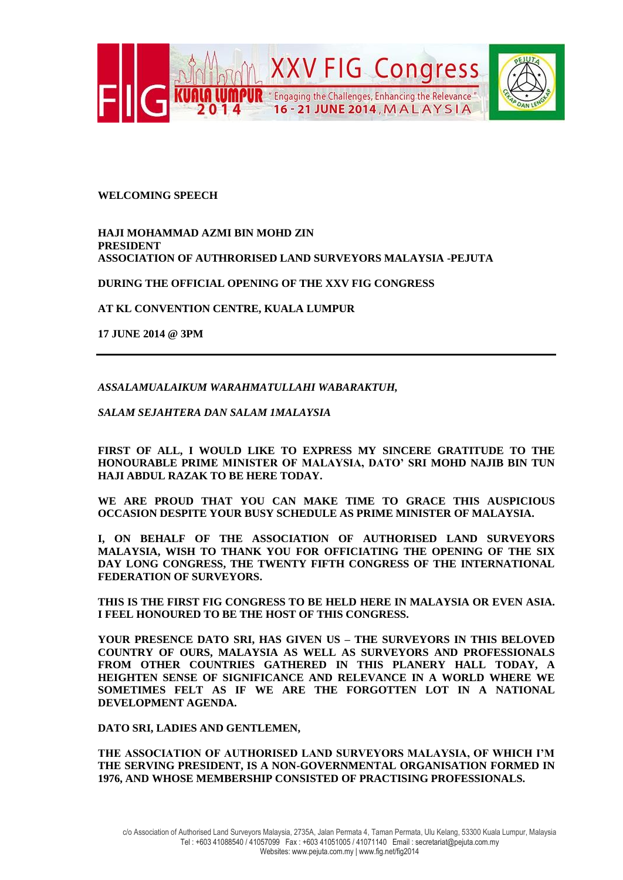

## **WELCOMING SPEECH**

**HAJI MOHAMMAD AZMI BIN MOHD ZIN PRESIDENT ASSOCIATION OF AUTHRORISED LAND SURVEYORS MALAYSIA -PEJUTA**

**DURING THE OFFICIAL OPENING OF THE XXV FIG CONGRESS**

**AT KL CONVENTION CENTRE, KUALA LUMPUR**

**17 JUNE 2014 @ 3PM**

*ASSALAMUALAIKUM WARAHMATULLAHI WABARAKTUH,*

*SALAM SEJAHTERA DAN SALAM 1MALAYSIA*

**FIRST OF ALL, I WOULD LIKE TO EXPRESS MY SINCERE GRATITUDE TO THE HONOURABLE PRIME MINISTER OF MALAYSIA, DATO' SRI MOHD NAJIB BIN TUN HAJI ABDUL RAZAK TO BE HERE TODAY.** 

**WE ARE PROUD THAT YOU CAN MAKE TIME TO GRACE THIS AUSPICIOUS OCCASION DESPITE YOUR BUSY SCHEDULE AS PRIME MINISTER OF MALAYSIA.**

**I, ON BEHALF OF THE ASSOCIATION OF AUTHORISED LAND SURVEYORS MALAYSIA, WISH TO THANK YOU FOR OFFICIATING THE OPENING OF THE SIX DAY LONG CONGRESS, THE TWENTY FIFTH CONGRESS OF THE INTERNATIONAL FEDERATION OF SURVEYORS.**

**THIS IS THE FIRST FIG CONGRESS TO BE HELD HERE IN MALAYSIA OR EVEN ASIA. I FEEL HONOURED TO BE THE HOST OF THIS CONGRESS.**

**YOUR PRESENCE DATO SRI, HAS GIVEN US – THE SURVEYORS IN THIS BELOVED COUNTRY OF OURS, MALAYSIA AS WELL AS SURVEYORS AND PROFESSIONALS FROM OTHER COUNTRIES GATHERED IN THIS PLANERY HALL TODAY, A HEIGHTEN SENSE OF SIGNIFICANCE AND RELEVANCE IN A WORLD WHERE WE SOMETIMES FELT AS IF WE ARE THE FORGOTTEN LOT IN A NATIONAL DEVELOPMENT AGENDA.** 

**DATO SRI, LADIES AND GENTLEMEN,**

**THE ASSOCIATION OF AUTHORISED LAND SURVEYORS MALAYSIA, OF WHICH I'M THE SERVING PRESIDENT, IS A NON-GOVERNMENTAL ORGANISATION FORMED IN 1976, AND WHOSE MEMBERSHIP CONSISTED OF PRACTISING PROFESSIONALS.**